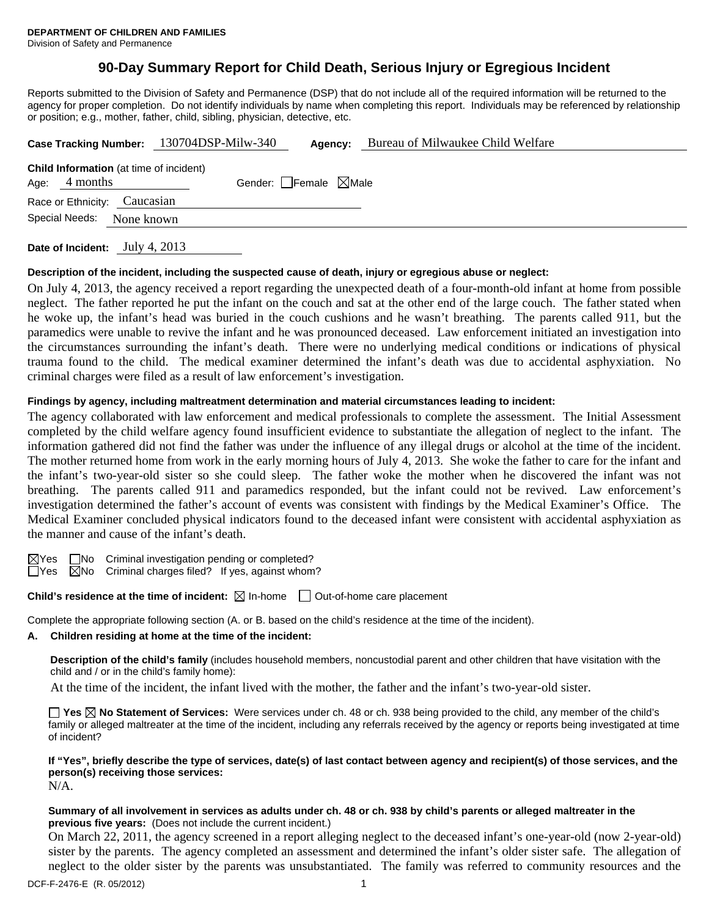## **90-Day Summary Report for Child Death, Serious Injury or Egregious Incident**

Reports submitted to the Division of Safety and Permanence (DSP) that do not include all of the required information will be returned to the agency for proper completion. Do not identify individuals by name when completing this report. Individuals may be referenced by relationship or position; e.g., mother, father, child, sibling, physician, detective, etc.

|                              | Case Tracking Number: 130704DSP-Milw-340       |                                 | Agency: | Bureau of Milwaukee Child Welfare |
|------------------------------|------------------------------------------------|---------------------------------|---------|-----------------------------------|
| Age: $4$ months              | <b>Child Information</b> (at time of incident) | Gender: Female $\boxtimes$ Male |         |                                   |
| Race or Ethnicity: Caucasian |                                                |                                 |         |                                   |
| Special Needs:               | None known                                     |                                 |         |                                   |
|                              |                                                |                                 |         |                                   |

**Date of Incident:** July 4, 2013

#### **Description of the incident, including the suspected cause of death, injury or egregious abuse or neglect:**

On July 4, 2013, the agency received a report regarding the unexpected death of a four-month-old infant at home from possible neglect. The father reported he put the infant on the couch and sat at the other end of the large couch. The father stated when he woke up, the infant's head was buried in the couch cushions and he wasn't breathing. The parents called 911, but the paramedics were unable to revive the infant and he was pronounced deceased. Law enforcement initiated an investigation into the circumstances surrounding the infant's death. There were no underlying medical conditions or indications of physical trauma found to the child. The medical examiner determined the infant's death was due to accidental asphyxiation. No criminal charges were filed as a result of law enforcement's investigation.

## **Findings by agency, including maltreatment determination and material circumstances leading to incident:**

The agency collaborated with law enforcement and medical professionals to complete the assessment. The Initial Assessment completed by the child welfare agency found insufficient evidence to substantiate the allegation of neglect to the infant. The information gathered did not find the father was under the influence of any illegal drugs or alcohol at the time of the incident. The mother returned home from work in the early morning hours of July 4, 2013. She woke the father to care for the infant and the infant's two-year-old sister so she could sleep. The father woke the mother when he discovered the infant was not breathing. The parents called 911 and paramedics responded, but the infant could not be revived. Law enforcement's investigation determined the father's account of events was consistent with findings by the Medical Examiner's Office. The Medical Examiner concluded physical indicators found to the deceased infant were consistent with accidental asphyxiation as the manner and cause of the infant's death.

 $\boxtimes$ Yes  $\Box$ No Criminal investigation pending or completed?

 $\Box$ Yes  $\Box$ No Criminal charges filed? If yes, against whom?

**Child's residence at the time of incident:**  $\boxtimes$  In-home  $\Box$  Out-of-home care placement

Complete the appropriate following section (A. or B. based on the child's residence at the time of the incident).

#### **A. Children residing at home at the time of the incident:**

**Description of the child's family** (includes household members, noncustodial parent and other children that have visitation with the child and / or in the child's family home):

At the time of the incident, the infant lived with the mother, the father and the infant's two-year-old sister.

**Yes No Statement of Services:** Were services under ch. 48 or ch. 938 being provided to the child, any member of the child's family or alleged maltreater at the time of the incident, including any referrals received by the agency or reports being investigated at time of incident?

**If "Yes", briefly describe the type of services, date(s) of last contact between agency and recipient(s) of those services, and the person(s) receiving those services:**   $N/A$ .

#### **Summary of all involvement in services as adults under ch. 48 or ch. 938 by child's parents or alleged maltreater in the previous five years:** (Does not include the current incident.)

On March 22, 2011, the agency screened in a report alleging neglect to the deceased infant's one-year-old (now 2-year-old) sister by the parents. The agency completed an assessment and determined the infant's older sister safe. The allegation of neglect to the older sister by the parents was unsubstantiated. The family was referred to community resources and the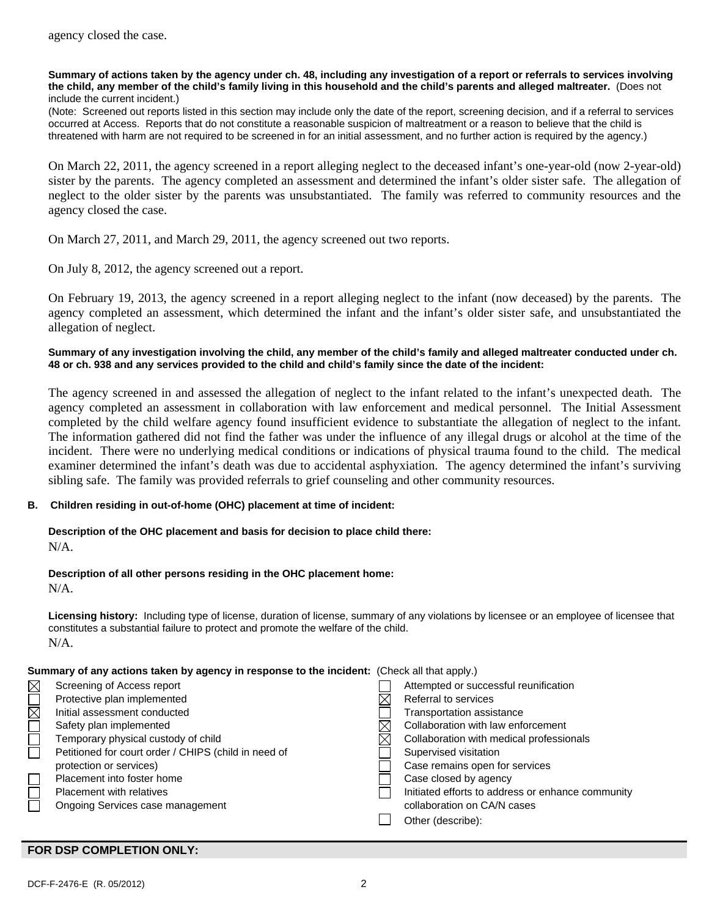#### **Summary of actions taken by the agency under ch. 48, including any investigation of a report or referrals to services involving the child, any member of the child's family living in this household and the child's parents and alleged maltreater.** (Does not include the current incident.)

(Note: Screened out reports listed in this section may include only the date of the report, screening decision, and if a referral to services occurred at Access. Reports that do not constitute a reasonable suspicion of maltreatment or a reason to believe that the child is threatened with harm are not required to be screened in for an initial assessment, and no further action is required by the agency.)

On March 22, 2011, the agency screened in a report alleging neglect to the deceased infant's one-year-old (now 2-year-old) sister by the parents. The agency completed an assessment and determined the infant's older sister safe. The allegation of neglect to the older sister by the parents was unsubstantiated. The family was referred to community resources and the agency closed the case.

On March 27, 2011, and March 29, 2011, the agency screened out two reports.

On July 8, 2012, the agency screened out a report.

On February 19, 2013, the agency screened in a report alleging neglect to the infant (now deceased) by the parents. The agency completed an assessment, which determined the infant and the infant's older sister safe, and unsubstantiated the allegation of neglect.

#### **Summary of any investigation involving the child, any member of the child's family and alleged maltreater conducted under ch. 48 or ch. 938 and any services provided to the child and child's family since the date of the incident:**

The agency screened in and assessed the allegation of neglect to the infant related to the infant's unexpected death. The agency completed an assessment in collaboration with law enforcement and medical personnel. The Initial Assessment completed by the child welfare agency found insufficient evidence to substantiate the allegation of neglect to the infant. The information gathered did not find the father was under the influence of any illegal drugs or alcohol at the time of the incident. There were no underlying medical conditions or indications of physical trauma found to the child. The medical examiner determined the infant's death was due to accidental asphyxiation. The agency determined the infant's surviving sibling safe. The family was provided referrals to grief counseling and other community resources.

## **B. Children residing in out-of-home (OHC) placement at time of incident:**

# **Description of the OHC placement and basis for decision to place child there:**

N/A.

## **Description of all other persons residing in the OHC placement home:**

N/A.

**Licensing history:** Including type of license, duration of license, summary of any violations by licensee or an employee of licensee that constitutes a substantial failure to protect and promote the welfare of the child. N/A.

## **Summary of any actions taken by agency in response to the incident:** (Check all that apply.)

|        | Screening of Access report                           | Attempted or successful reunification             |
|--------|------------------------------------------------------|---------------------------------------------------|
| MOR    | Protective plan implemented                          | Referral to services                              |
|        | Initial assessment conducted                         | Transportation assistance                         |
|        | Safety plan implemented                              | Collaboration with law enforcement                |
| $\Box$ | Temporary physical custody of child                  | Collaboration with medical professionals          |
|        | Petitioned for court order / CHIPS (child in need of | Supervised visitation                             |
|        | protection or services)                              | Case remains open for services                    |
| $\Box$ | Placement into foster home                           | Case closed by agency                             |
| $\Box$ | <b>Placement with relatives</b>                      | Initiated efforts to address or enhance community |
|        | Ongoing Services case management                     | collaboration on CA/N cases                       |
|        |                                                      | Other (describe):                                 |

## **FOR DSP COMPLETION ONLY:**